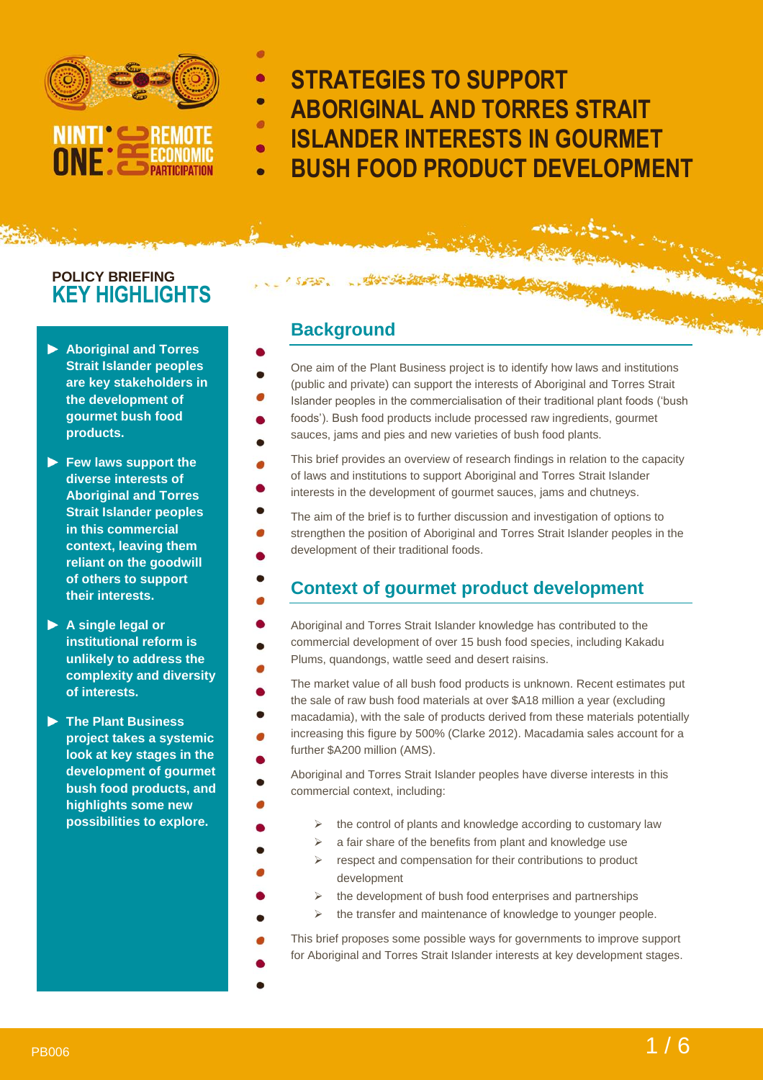

**STRATEGIES TO SUPPORT ABORIGINAL AND TORRES STRAIT ISLANDER INTERESTS IN GOURMET BUSH FOOD PRODUCT DEVELOPMENT**

## **POLICY BRIEFING KEY HIGHLIGHTS**

- **Aboriginal and Torres Strait Islander peoples are key stakeholders in the development of gourmet bush food products.**
- **Few laws support the diverse interests of Aboriginal and Torres Strait Islander peoples in this commercial context, leaving them reliant on the goodwill of others to support their interests.**
- **A single legal or institutional reform is unlikely to address the complexity and diversity of interests.**
- **The Plant Business project takes a systemic look at key stages in the development of gourmet bush food products, and highlights some new possibilities to explore.**

### **Background**

- One aim of the Plant Business project is to identify how laws and institutions (public and private) can support the interests of Aboriginal and Torres Strait Islander peoples in the commercialisation of their traditional plant foods ('bush foods'). Bush food products include processed raw ingredients, gourmet
- sauces, jams and pies and new varieties of bush food plants.
- This brief provides an overview of research findings in relation to the capacity of laws and institutions to support Aboriginal and Torres Strait Islander interests in the development of gourmet sauces, jams and chutneys.
- The aim of the brief is to further discussion and investigation of options to strengthen the position of Aboriginal and Torres Strait Islander peoples in the development of their traditional foods.

# **Context of gourmet product development**

- Aboriginal and Torres Strait Islander knowledge has contributed to the commercial development of over 15 bush food species, including Kakadu Plums, quandongs, wattle seed and desert raisins.
- The market value of all bush food products is unknown. Recent estimates put the sale of raw bush food materials at over \$A18 million a year (excluding macadamia), with the sale of products derived from these materials potentially increasing this figure by 500% (Clarke 2012). Macadamia sales account for a further \$A200 million (AMS).
- Aboriginal and Torres Strait Islander peoples have diverse interests in this commercial context, including:
	- $\triangleright$  the control of plants and knowledge according to customary law
		- $\triangleright$  a fair share of the benefits from plant and knowledge use
		- respect and compensation for their contributions to product development
	- $\triangleright$  the development of bush food enterprises and partnerships
		- $\triangleright$  the transfer and maintenance of knowledge to younger people.
- This brief proposes some possible ways for governments to improve support for Aboriginal and Torres Strait Islander interests at key development stages.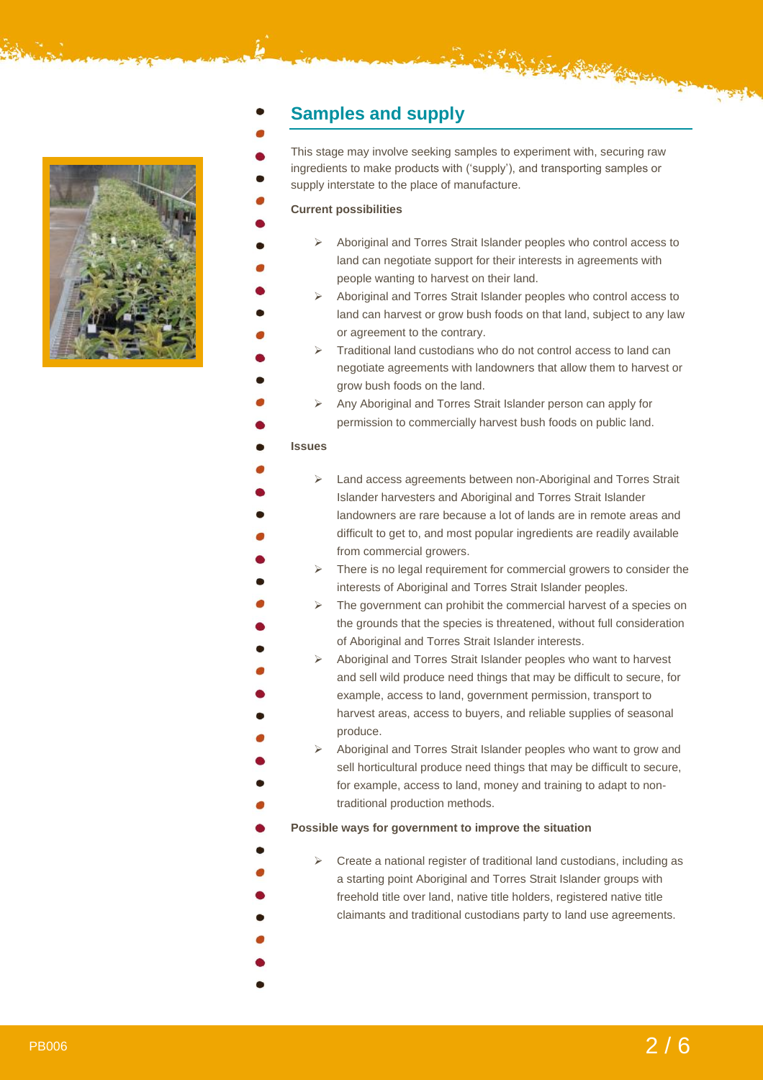

## **Samples and supply**

This stage may involve seeking samples to experiment with, securing raw ingredients to make products with ('supply'), and transporting samples or supply interstate to the place of manufacture.

#### **Current possibilities**

- ➢ Aboriginal and Torres Strait Islander peoples who control access to land can negotiate support for their interests in agreements with people wanting to harvest on their land.
- ➢ Aboriginal and Torres Strait Islander peoples who control access to land can harvest or grow bush foods on that land, subject to any law or agreement to the contrary.
- ➢ Traditional land custodians who do not control access to land can negotiate agreements with landowners that allow them to harvest or grow bush foods on the land.
- ➢ Any Aboriginal and Torres Strait Islander person can apply for permission to commercially harvest bush foods on public land.

#### **Issues**

|  | Land access agreements between non-Aboriginal and Torres Strait                       |
|--|---------------------------------------------------------------------------------------|
|  | Islander harvesters and Aboriginal and Torres Strait Islander                         |
|  | landowners are rare because a lot of lands are in remote areas and                    |
|  | difficult to get to, and most popular ingredients are readily available               |
|  | from commercial growers.                                                              |
|  | $\triangleright$ There is no legal requirement for commercial growers to consider the |

- $\triangleright$  There is no legal requirement for commercial growers to consider the interests of Aboriginal and Torres Strait Islander peoples.
- $\triangleright$  The government can prohibit the commercial harvest of a species on the grounds that the species is threatened, without full consideration of Aboriginal and Torres Strait Islander interests.
- ➢ Aboriginal and Torres Strait Islander peoples who want to harvest and sell wild produce need things that may be difficult to secure, for example, access to land, government permission, transport to harvest areas, access to buyers, and reliable supplies of seasonal produce.
- ➢ Aboriginal and Torres Strait Islander peoples who want to grow and sell horticultural produce need things that may be difficult to secure, for example, access to land, money and training to adapt to nontraditional production methods.

#### **Possible ways for government to improve the situation**

- ➢ Create a national register of traditional land custodians, including as a starting point Aboriginal and Torres Strait Islander groups with freehold title over land, native title holders, registered native title claimants and traditional custodians party to land use agreements.
- 
- 
-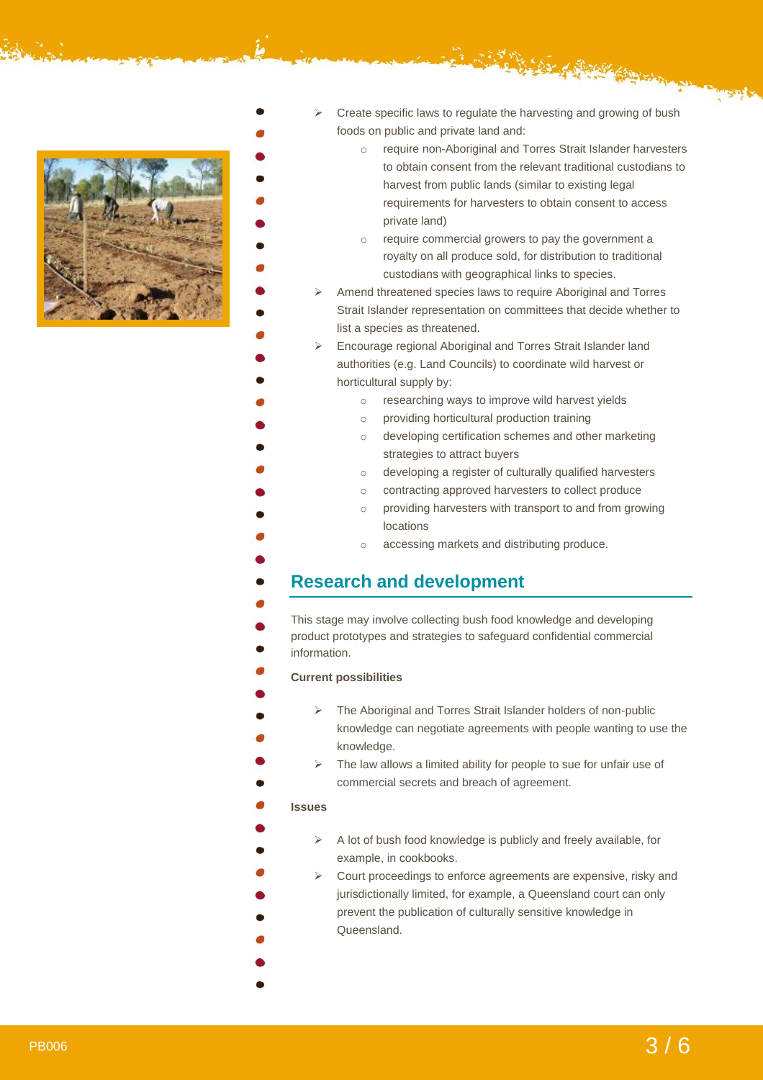

- o require non-Aboriginal and Torres Strait Islander harvesters to obtain consent from the relevant traditional custodians to harvest from public lands (similar to existing legal requirements for harvesters to obtain consent to access private land)
- o require commercial growers to pay the government a royalty on all produce sold, for distribution to traditional custodians with geographical links to species.
- ➢ Amend threatened species laws to require Aboriginal and Torres Strait Islander representation on committees that decide whether to list a species as threatened.
	- ➢ Encourage regional Aboriginal and Torres Strait Islander land authorities (e.g. Land Councils) to coordinate wild harvest or horticultural supply by:
		- o researching ways to improve wild harvest yields
		- o providing horticultural production training
		- o developing certification schemes and other marketing strategies to attract buyers
		- o developing a register of culturally qualified harvesters
		- o contracting approved harvesters to collect produce
		- o providing harvesters with transport to and from growing locations
		- o accessing markets and distributing produce.

### **Research and development**

This stage may involve collecting bush food knowledge and developing product prototypes and strategies to safeguard confidential commercial information.

#### **Current possibilities**

- ➢ The Aboriginal and Torres Strait Islander holders of non-public knowledge can negotiate agreements with people wanting to use the knowledge.
- ➢ The law allows a limited ability for people to sue for unfair use of commercial secrets and breach of agreement.

#### **Issues**

- ➢ A lot of bush food knowledge is publicly and freely available, for example, in cookbooks.
- ➢ Court proceedings to enforce agreements are expensive, risky and jurisdictionally limited, for example, a Queensland court can only prevent the publication of culturally sensitive knowledge in Queensland.

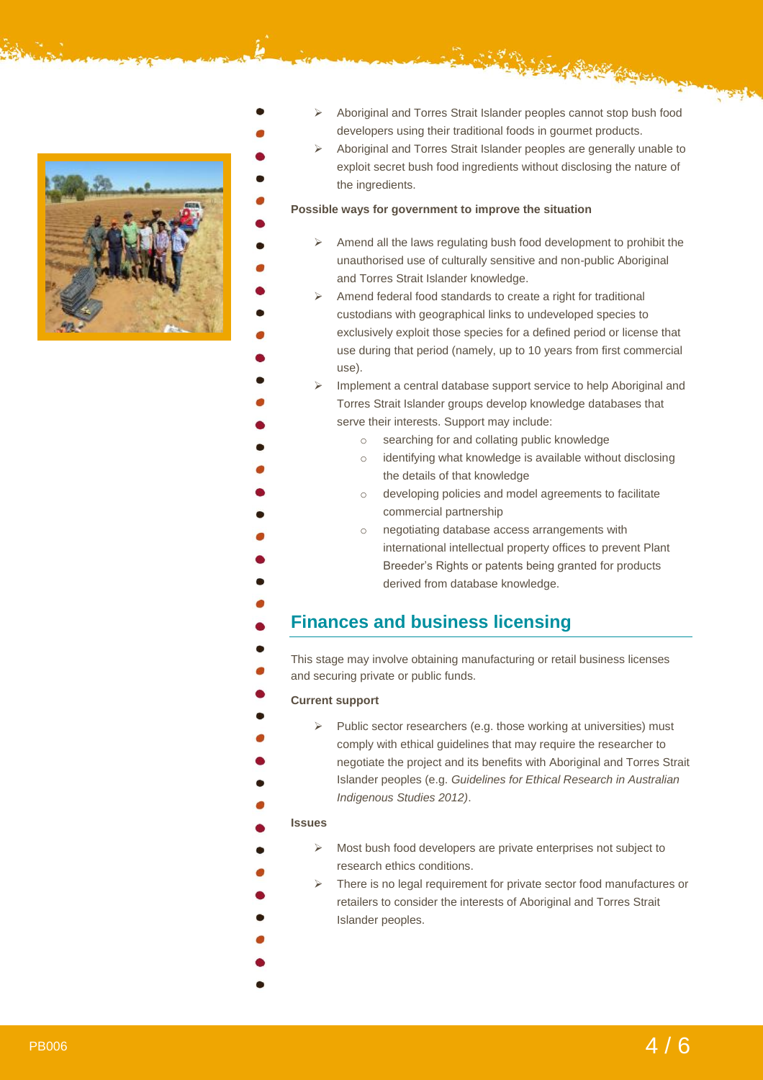

- ➢ Aboriginal and Torres Strait Islander peoples cannot stop bush food developers using their traditional foods in gourmet products.
	- ➢ Aboriginal and Torres Strait Islander peoples are generally unable to exploit secret bush food ingredients without disclosing the nature of the ingredients.

#### **Possible ways for government to improve the situation**

- $\triangleright$  Amend all the laws regulating bush food development to prohibit the unauthorised use of culturally sensitive and non-public Aboriginal and Torres Strait Islander knowledge.
- ➢ Amend federal food standards to create a right for traditional custodians with geographical links to undeveloped species to exclusively exploit those species for a defined period or license that use during that period (namely, up to 10 years from first commercial use).

➢ Implement a central database support service to help Aboriginal and Torres Strait Islander groups develop knowledge databases that serve their interests. Support may include:

- o searching for and collating public knowledge
- o identifying what knowledge is available without disclosing the details of that knowledge
- o developing policies and model agreements to facilitate commercial partnership
- o negotiating database access arrangements with international intellectual property offices to prevent Plant Breeder's Rights or patents being granted for products derived from database knowledge.

### **Finances and business licensing**

This stage may involve obtaining manufacturing or retail business licenses and securing private or public funds.

#### **Current support**

Public sector researchers (e.g. those working at universities) must comply with ethical guidelines that may require the researcher to negotiate the project and its benefits with Aboriginal and Torres Strait Islander peoples (e.g. *Guidelines for Ethical Research in Australian Indigenous Studies 2012)*.

#### **Issues**

- ➢ Most bush food developers are private enterprises not subject to research ethics conditions.
- ➢ There is no legal requirement for private sector food manufactures or retailers to consider the interests of Aboriginal and Torres Strait Islander peoples.
- 
- 
-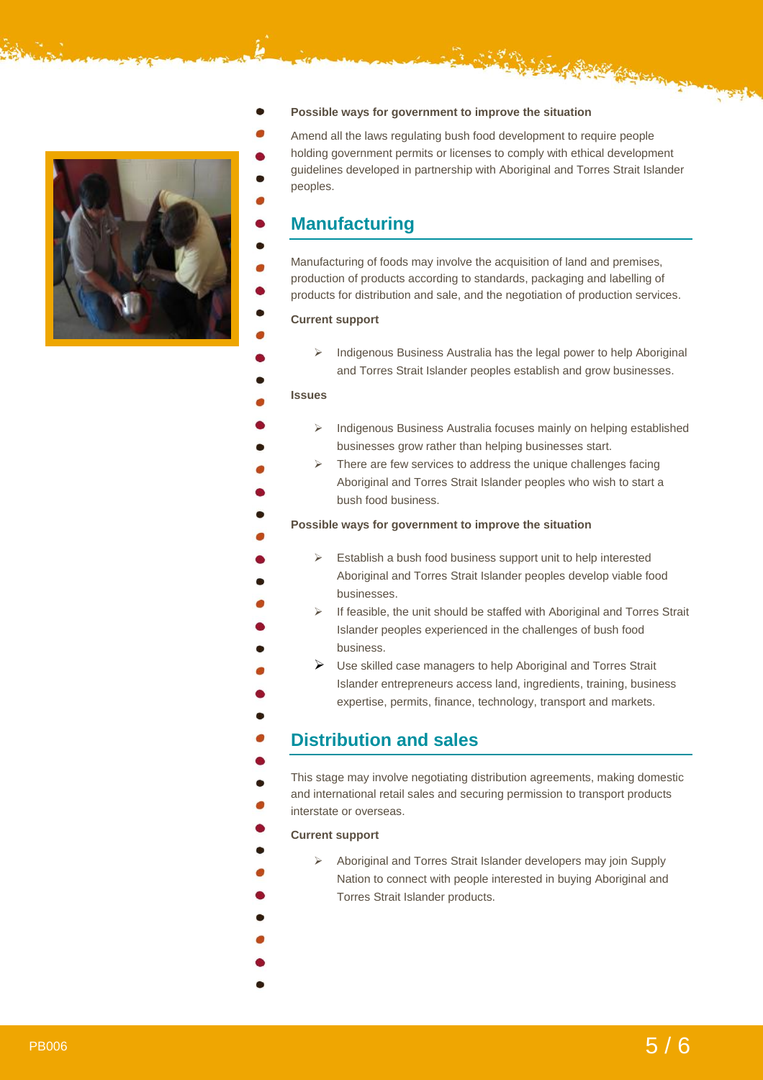

#### **Possible ways for government to improve the situation**

Amend all the laws regulating bush food development to require people holding government permits or licenses to comply with ethical development guidelines developed in partnership with Aboriginal and Torres Strait Islander peoples.

### **Manufacturing**

Manufacturing of foods may involve the acquisition of land and premises, production of products according to standards, packaging and labelling of products for distribution and sale, and the negotiation of production services.

#### **Current support**

➢ Indigenous Business Australia has the legal power to help Aboriginal and Torres Strait Islander peoples establish and grow businesses.

#### **Issues**

- ➢ Indigenous Business Australia focuses mainly on helping established businesses grow rather than helping businesses start.
- $\triangleright$  There are few services to address the unique challenges facing Aboriginal and Torres Strait Islander peoples who wish to start a bush food business.

#### **Possible ways for government to improve the situation**

- ➢ Establish a bush food business support unit to help interested Aboriginal and Torres Strait Islander peoples develop viable food businesses.
- ➢ If feasible, the unit should be staffed with Aboriginal and Torres Strait Islander peoples experienced in the challenges of bush food business.
- ➢ Use skilled case managers to help Aboriginal and Torres Strait Islander entrepreneurs access land, ingredients, training, business expertise, permits, finance, technology, transport and markets.

### **Distribution and sales**

This stage may involve negotiating distribution agreements, making domestic and international retail sales and securing permission to transport products interstate or overseas.

#### **Current support**

- ➢ Aboriginal and Torres Strait Islander developers may join Supply Nation to connect with people interested in buying Aboriginal and Torres Strait Islander products.
- 
- 
- 
-